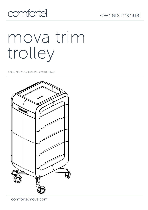# comfortel

# mova trim trolley

#7059 MOVA TRIM TROLLEY - BLACK ON BLACK